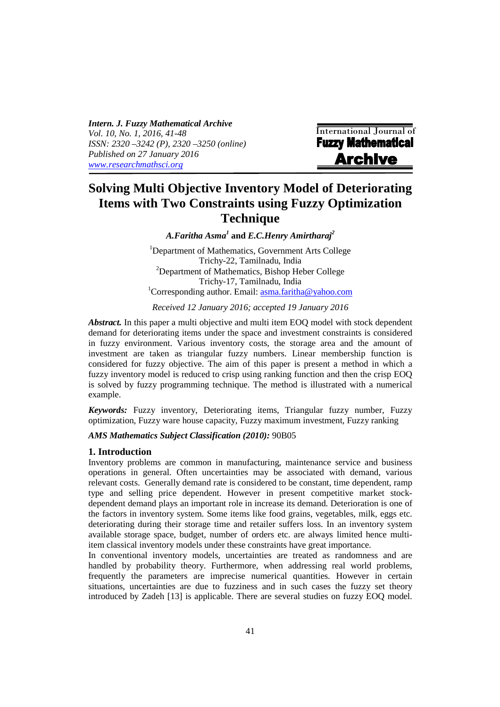*Intern. J. Fuzzy Mathematical Archive Vol. 10, No. 1, 2016, 41-48 ISSN: 2320 –3242 (P), 2320 –3250 (online) Published on 27 January 2016 www.researchmathsci.org*

i

International Journal of **Fuzzy Mathematical Archive** 

# **Solving Multi Objective Inventory Model of Deteriorating Items with Two Constraints using Fuzzy Optimization Technique**

*A.Faritha Asma<sup>1</sup>* **and** *E.C.Henry Amirtharaj<sup>2</sup>*

<sup>1</sup>Department of Mathematics, Government Arts College Trichy-22, Tamilnadu, India  $2$ Department of Mathematics, Bishop Heber College Trichy-17, Tamilnadu, India <sup>1</sup>Corresponding author. Email:  $\text{asma.}$  faritha@yahoo.com

*Received 12 January 2016; accepted 19 January 2016* 

*Abstract.* In this paper a multi objective and multi item EOQ model with stock dependent demand for deteriorating items under the space and investment constraints is considered in fuzzy environment. Various inventory costs, the storage area and the amount of investment are taken as triangular fuzzy numbers. Linear membership function is considered for fuzzy objective. The aim of this paper is present a method in which a fuzzy inventory model is reduced to crisp using ranking function and then the crisp EOQ is solved by fuzzy programming technique. The method is illustrated with a numerical example.

*Keywords:* Fuzzy inventory, Deteriorating items, Triangular fuzzy number, Fuzzy optimization, Fuzzy ware house capacity, Fuzzy maximum investment, Fuzzy ranking

# *AMS Mathematics Subject Classification (2010):* 90B05

#### **1. Introduction**

Inventory problems are common in manufacturing, maintenance service and business operations in general. Often uncertainties may be associated with demand, various relevant costs. Generally demand rate is considered to be constant, time dependent, ramp type and selling price dependent. However in present competitive market stockdependent demand plays an important role in increase its demand. Deterioration is one of the factors in inventory system. Some items like food grains, vegetables, milk, eggs etc. deteriorating during their storage time and retailer suffers loss. In an inventory system available storage space, budget, number of orders etc. are always limited hence multiitem classical inventory models under these constraints have great importance.

In conventional inventory models, uncertainties are treated as randomness and are handled by probability theory. Furthermore, when addressing real world problems, frequently the parameters are imprecise numerical quantities. However in certain situations, uncertainties are due to fuzziness and in such cases the fuzzy set theory introduced by Zadeh [13] is applicable. There are several studies on fuzzy EOQ model.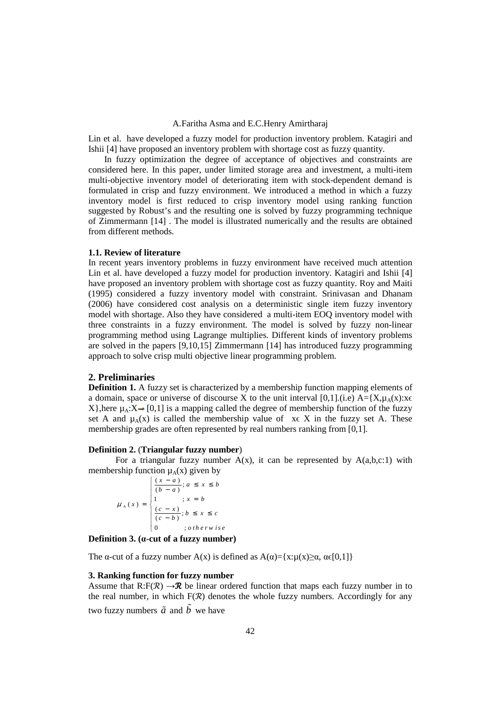Lin et al. have developed a fuzzy model for production inventory problem. Katagiri and Ishii [4] have proposed an inventory problem with shortage cost as fuzzy quantity.

 In fuzzy optimization the degree of acceptance of objectives and constraints are considered here. In this paper, under limited storage area and investment, a multi-item multi-objective inventory model of deteriorating item with stock-dependent demand is formulated in crisp and fuzzy environment. We introduced a method in which a fuzzy inventory model is first reduced to crisp inventory model using ranking function suggested by Robust's and the resulting one is solved by fuzzy programming technique of Zimmermann [14] . The model is illustrated numerically and the results are obtained from different methods.

## **1.1. Review of literature**

In recent years inventory problems in fuzzy environment have received much attention Lin et al. have developed a fuzzy model for production inventory. Katagiri and Ishii [4] have proposed an inventory problem with shortage cost as fuzzy quantity. Roy and Maiti (1995) considered a fuzzy inventory model with constraint. Srinivasan and Dhanam (2006) have considered cost analysis on a deterministic single item fuzzy inventory model with shortage. Also they have considered a multi-item EOQ inventory model with three constraints in a fuzzy environment. The model is solved by fuzzy non-linear programming method using Lagrange multiplies. Different kinds of inventory problems are solved in the papers [9,10,15] Zimmermann [14] has introduced fuzzy programming approach to solve crisp multi objective linear programming problem.

#### **2. Preliminaries**

**Definition 1.** A fuzzy set is characterized by a membership function mapping elements of a domain, space or universe of discourse X to the unit interval [0,1].(i.e)  $A = \{X, \mu_A(x): x \in A\}$ X}, here  $\mu_A$ :  $X \rightarrow [0,1]$  is a mapping called the degree of membership function of the fuzzy set A and  $\mu_A(x)$  is called the membership value of  $x \in X$  in the fuzzy set A. These membership grades are often represented by real numbers ranking from [0,1].

#### **Definition 2.** (**Triangular fuzzy number**)

For a triangular fuzzy number  $A(x)$ , it can be represented by  $A(a,b,c:1)$  with membership function  $\mu_A(x)$  given by

 $\frac{(x-a)}{(b-a)}$ ;  $(x) = \begin{cases} (x - x) \\ (x - x) \end{cases}$ 1 ;  $x = b$  $\frac{(c-x)}{(c-b)}$ ;  $0 \qquad ;$ *A*  $\frac{x-a}{b-a}$ ;  $a \leq x \leq b$  $f(x) = \begin{cases} \frac{(c - x)}{(c - b)}; b \leq x \leq c \end{cases}$  $\mu_A(x) = \begin{cases} 1 & ; x = b \end{cases}$ *o t h e r w i s e*  $= \begin{cases} \frac{(x-a)}{(b-a)}; a \leq x \leq \\ 1 & ; x = b \\ \frac{(c-x)}{(b-a)}; b \leq x \leq \end{cases}$ =  $\frac{(c-x)}{(c-b)}$ ;  $b \leq x \leq$  $\overline{\mathcal{L}}$ 

**Definition 3. (α-cut of a fuzzy number)** 

The α-cut of a fuzzy number A(x) is defined as  $A(\alpha) = \{x: u(x) \ge \alpha, \alpha \in [0,1]\}$ 

## **3. Ranking function for fuzzy number**

Assume that  $R: F(\mathcal{R}) \to \mathcal{R}$  be linear ordered function that maps each fuzzy number in to the real number, in which  $F(\mathcal{R})$  denotes the whole fuzzy numbers. Accordingly for any two fuzzy numbers  $\tilde{a}$  and  $\tilde{b}$  we have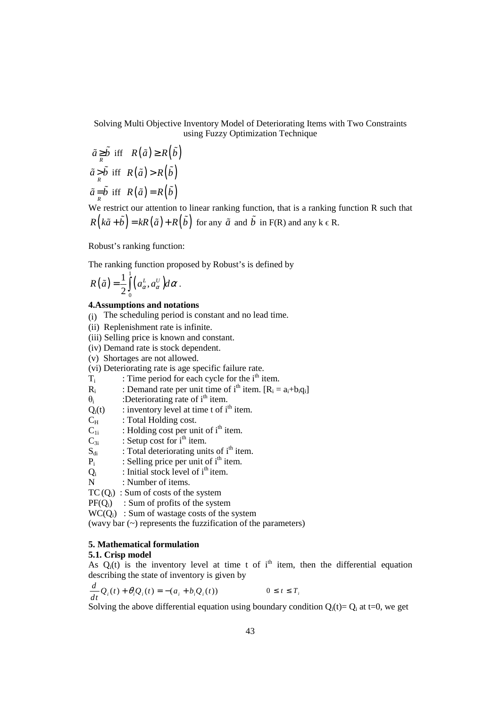Solving Multi Objective Inventory Model of Deteriorating Items with Two Constraints using Fuzzy Optimization Technique

$$
\tilde{a} \geq \tilde{b} \text{ iff } R(\tilde{a}) \geq R(\tilde{b})
$$
  

$$
\tilde{a} > \tilde{b} \text{ iff } R(\tilde{a}) > R(\tilde{b})
$$
  

$$
\tilde{a} = \tilde{b} \text{ iff } R(\tilde{a}) = R(\tilde{b})
$$

We restrict our attention to linear ranking function, that is a ranking function R such that  $R(k\tilde{a} + \tilde{b}) = kR(\tilde{a}) + R(\tilde{b})$  for any  $\tilde{a}$  and  $\tilde{b}$  in F(R) and any  $k \in R$ .

Robust's ranking function:

The ranking function proposed by Robust's is defined by

$$
R(\tilde{a}) = \frac{1}{2} \int_0^1 \left( a^L_{\alpha}, a^U_{\alpha} \right) d\alpha.
$$

#### **4.Assumptions and notations**

- (i) The scheduling period is constant and no lead time.
- (ii) Replenishment rate is infinite.
- (iii) Selling price is known and constant.
- (iv) Demand rate is stock dependent.
- (v) Shortages are not allowed.

(vi) Deteriorating rate is age specific failure rate.

- Ti : Time period for each cycle for the  $i<sup>th</sup>$  item.
- $R_i$ : Demand rate per unit time of i<sup>th</sup> item.  $[R_i = a_i + b_i q_i]$
- $\theta_i$ :Deteriorating rate of  $i<sup>th</sup>$  item.
- $Q_i(t)$  : inventory level at time t of i<sup>th</sup> item.
- $C_H$  : Total Holding cost.
- $C_{1i}$  : Holding cost per unit of i<sup>th</sup> item.
- $C_{3i}$  : Setup cost for i<sup>th</sup> item.
- $S_{di}$  : Total deteriorating units of i<sup>th</sup> item.
- $P_i$ : Selling price per unit of  $i<sup>th</sup>$  item.
- $\frac{Q_i}{N}$ : Initial stock level of  $i<sup>th</sup>$  item.
- : Number of items.

 $TC(Q<sub>i</sub>)$ : Sum of costs of the system

 $PF(Q_i)$ : Sum of profits of the system

 $WC(O_i)$ : Sum of wastage costs of the system

(wavy bar (~) represents the fuzzification of the parameters)

#### **5. Mathematical formulation**

## **5.1. Crisp model**

As  $Q_i(t)$  is the inventory level at time t of i<sup>th</sup> item, then the differential equation describing the state of inventory is given by

$$
\frac{d}{dt}\mathcal{Q}_i(t) + \theta_i \mathcal{Q}_i(t) = -(a_i + b_i \mathcal{Q}_i(t)) \qquad 0 \le t \le T_i
$$

Solving the above differential equation using boundary condition  $Q_i(t) = Q_i$  at t=0, we get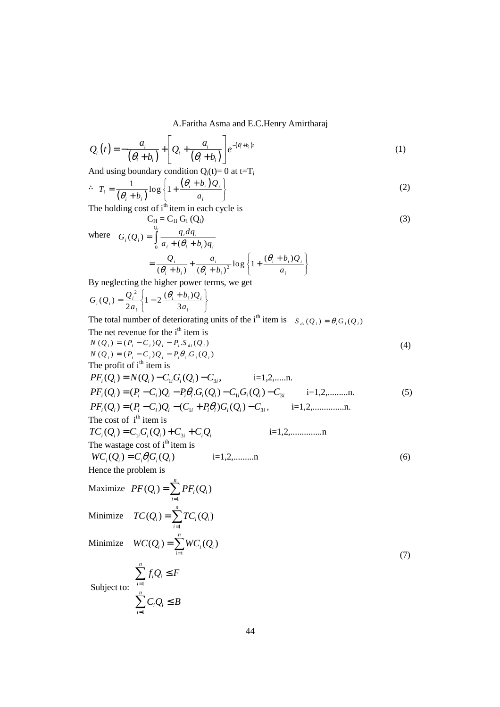$$
Q_i(t) = -\frac{a_i}{(\theta_i + b_i)} + \left[Q_i + \frac{a_i}{(\theta_i + b_i)}\right] e^{-(\theta_i + b_i)t}
$$
\n(1)

And using boundary condition  $Q_i(t)= 0$  at  $t=T_i$ 

$$
\therefore T_i = \frac{1}{(\theta_i + b_i)} \log \left\{ 1 + \frac{(\theta_i + b_i)Q_i}{a_i} \right\}
$$
 (2)

The holding cost of  $i<sup>th</sup>$  item in each cycle is  $C_{\rm H} = C_{1i} G_{i} (Q_{i})$  (3)

where 
$$
G_i(Q_i) = \int_0^{Q_i} \frac{q_i dq_i}{a_i + (\theta_i + b_i)q_i}
$$
  
=  $\frac{Q_i}{(\theta_i + b_i)} + \frac{a_i}{(\theta_i + b_i)^2} \log \left\{1 + \frac{(\theta_i + b_i)Q_i}{a_i}\right\}$ 

By neglecting the higher power terms, we get

$$
G_i(Q_i) = \frac{Q_i^2}{2a_i} \left\{ 1 - 2 \frac{(\theta_i + b_i)Q_i}{3a_i} \right\}
$$

*i*=1

The total number of deteriorating units of the i<sup>th</sup> item is  $S_{di} ( Q_i ) = \theta_i G_i ( Q_i )$ 

The net revenue for the i<sup>th</sup> item is  
\n
$$
N(Q_i) = (P_i - C_i)Q_i - P_i.S_{di}(Q_i)
$$
  
\n $N(Q_i) = (P_i - C_i)Q_i - P_i\theta_i.G_i(Q_i)$   
\n $N(Q_i) = (P_i - C_i)Q_i - P_i\theta_i.G_i(Q_i)$   
\nThe profit of i<sup>th</sup> item is  
\n $PF_i(Q_i) = N(Q_i) - C_{1i}G_i(Q_i) - C_{3i}$ , i=1,2,......n.  
\n $PF_i(Q_i) = (P_i - C_i)Q_i - P_i\theta_iG_i(Q_i) - C_{1i}G_i(Q_i) - C_{3i}$ , i=1,2,......n.  
\nThe cost of i<sup>th</sup> item is  
\n $TC_i(Q_i) = C_iG_i(Q_i) + C_{3i} + C_iQ_i$  i=1,2,......n.  
\nThe waxage cost of i<sup>th</sup> item is  
\n $WC_i(Q_i) = C_iG_i(Q_i)$  i=1,2,......n  
\nHence the problem is  
\nMaximize  $PF(Q_i) = \sum_{i=1}^{n} PF_i(Q_i)$   
\nMinimize  $TC(Q_i) = \sum_{i=1}^{n} PC_i(Q_i)$   
\nMinimize  $WC(Q_i) = \sum_{i=1}^{n} VC_i(Q_i)$   
\nMinimize  $WC(Q_i) = \sum_{i=1}^{n} WC_i(Q_i)$   
\n $\sum_{i=1}^{n} f_iQ_i \leq F$   
\nSubject to:  
\n $\sum_{i=1}^{n} C_iQ_i \leq B$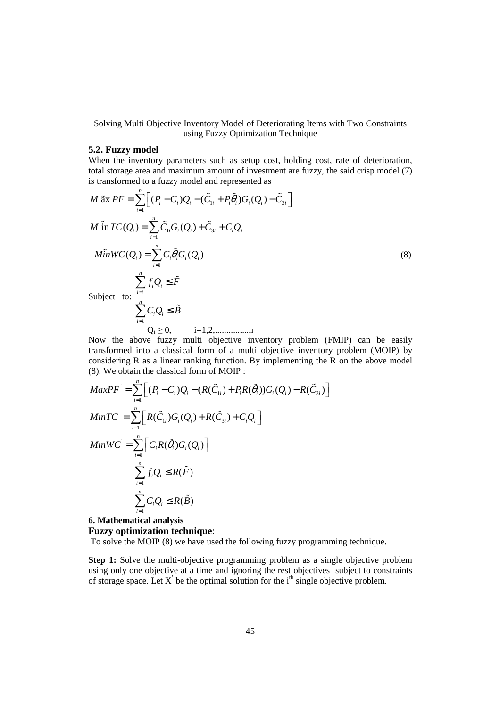Solving Multi Objective Inventory Model of Deteriorating Items with Two Constraints using Fuzzy Optimization Technique

## **5.2. Fuzzy model**

When the inventory parameters such as setup cost, holding cost, rate of deterioration, total storage area and maximum amount of investment are fuzzy, the said crisp model (7) is transformed to a fuzzy model and represented as

$$
M \tilde{\mathbf{a}} \times PF = \sum_{i=1}^{n} \Big[ (P_i - C_i) Q_i - (\tilde{C}_{1i} + P_i \tilde{\theta}_i) G_i (Q_i) - \tilde{C}_{3i} \Big]
$$
  
\n
$$
M \tilde{\mathbf{a}} \cap TC(Q_i) = \sum_{i=1}^{n} \tilde{C}_{1i} G_i (Q_i) + \tilde{C}_{3i} + C_i Q_i
$$
  
\n
$$
M \tilde{\mathbf{a}} \cap WC(Q_i) = \sum_{i=1}^{n} C_i \tilde{\theta}_i G_i (Q_i)
$$
  
\n
$$
\sum_{i=1}^{n} f_i Q_i \leq \tilde{F}
$$
  
\nSubject to:  
\n
$$
\sum_{i=1}^{n} C_i Q_i \leq \tilde{B}
$$
  
\n
$$
Q_i \geq 0, \qquad i = 1, 2, \dots, n
$$

Now the above fuzzy multi objective inventory problem (FMIP) can be easily transformed into a classical form of a multi objective inventory problem (MOIP) by considering R as a linear ranking function. By implementing the R on the above model (8). We obtain the classical form of MOIP :

$$
MaxPF' = \sum_{i=1}^{n} \Big[ (P_i - C_i)Q_i - (R(\tilde{C}_{1i}) + P_iR(\tilde{\theta}_i))G_i(Q_i) - R(\tilde{C}_{3i}) \Big]
$$
  
\n
$$
MinTC' = \sum_{i=1}^{n} \Big[ R(\tilde{C}_{1i})G_i(Q_i) + R(\tilde{C}_{3i}) + C_iQ_i \Big]
$$
  
\n
$$
MinWC' = \sum_{i=1}^{n} \Big[ C_iR(\tilde{\theta}_i)G_i(Q_i) \Big]
$$
  
\n
$$
\sum_{i=1}^{n} f_iQ_i \leq R(\tilde{F})
$$
  
\n
$$
\sum_{i=1}^{n} C_iQ_i \leq R(\tilde{B})
$$

## **6. Mathematical analysis Fuzzy optimization technique**:

To solve the MOIP (8) we have used the following fuzzy programming technique.

**Step 1:** Solve the multi-objective programming problem as a single objective problem using only one objective at a time and ignoring the rest objectives subject to constraints of storage space. Let  $X'$  be the optimal solution for the  $i<sup>th</sup>$  single objective problem.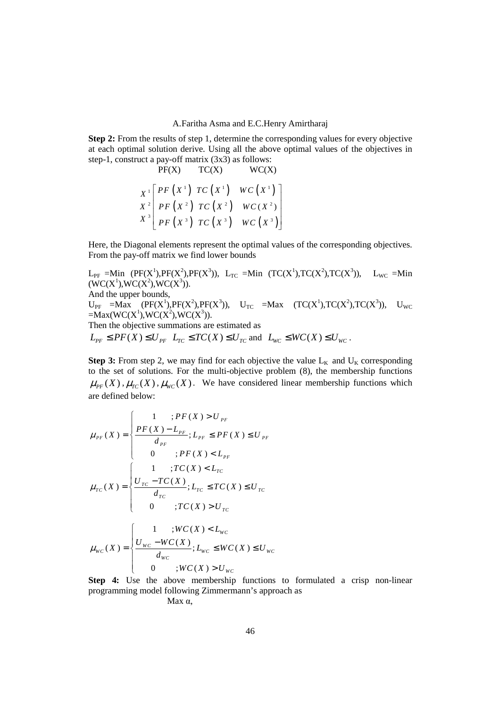**Step 2:** From the results of step 1, determine the corresponding values for every objective at each optimal solution derive. Using all the above optimal values of the objectives in step-1, construct a pay-off matrix (3x3) as follows:

$$
\begin{array}{ccc}\n & & \text{PC}(X) & & \text{WC}(X) \\
X^1 & P F(X^1) & T C(X^1) & W C(X^1) \\
X^2 & P F(X^2) & T C(X^2) & W C(X^2) \\
X^3 & P F(X^3) & T C(X^3) & W C(X^3)\n\end{array}
$$

Here, the Diagonal elements represent the optimal values of the corresponding objectives. From the pay-off matrix we find lower bounds

 $L_{PF}$  =Min (PF(X<sup>1</sup>),PF(X<sup>2</sup>),PF(X<sup>3</sup>)),  $L_{TC}$  =Min (TC(X<sup>1</sup>),TC(X<sup>2</sup>),TC(X<sup>3</sup>)),  $L_{WC}$  =Min  $(WC(X^1),WC(X^2),WC(X^3)).$ And the upper bounds,  $U_{PF}$  =Max (PF(X<sup>1</sup>),PF(X<sup>2</sup>),PF(X<sup>3</sup>)),  $U_{TC}$  =Max (TC(X<sup>1</sup>),TC(X<sup>2</sup>),TC(X<sup>3</sup>)),  $U_{WC}$  $=$ Max(WC(X<sup>1</sup>),WC(X<sup>2</sup>),WC(X<sup>3</sup>)). Then the objective summations are estimated as  $L_{PF} \leq PF(X) \leq U_{PF}$   $L_{TC} \leq TC(X) \leq U_{TC}$  and  $L_{WC} \leq WC(X) \leq U_{WC}$ .

**Step 3:** From step 2, we may find for each objective the value  $L_K$  and  $U_K$  corresponding to the set of solutions. For the multi-objective problem (8), the membership functions  $\mu_{\scriptscriptstyle{PF}}(X)$ ,  $\mu_{\scriptscriptstyle{TC}}(X)$ ,  $\mu_{\scriptscriptstyle{WC}}(X)$ . We have considered linear membership functions which are defined below:

$$
\mu_{PF}(X) = \begin{cases}\n1 &; PF(X) > U_{PF} \\
\frac{PF(X) - L_{PF}}{d_{PF}}; L_{PF} \le PF(X) \le U_{PF} \\
0 &; PF(X) < L_{PF}\n\end{cases}
$$
\n
$$
\mu_{TC}(X) = \begin{cases}\n1 &; TC(X) < L_{TC} \\
\frac{U_{TC} - TC(X)}{d_{TC}}; L_{TC} \le TC(X) \le U_{TC} \\
0 &; TC(X) > U_{TC}\n\end{cases}
$$
\n
$$
\mu_{WC}(X) = \begin{cases}\n1 &; WC(X) < L_{WC} \\
\frac{U_{WC} - WC(X)}{d_{WC}}; L_{WC} \le WC(X) \le U_{WC} \\
0 &; WC(X) > U_{WC}\n\end{cases}
$$

**Step 4:** Use the above membership functions to formulated a crisp non-linear programming model following Zimmermann's approach as

Max α,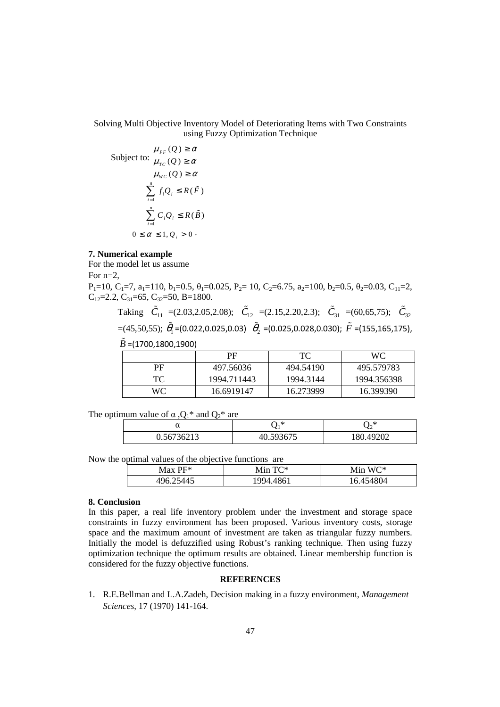# Solving Multi Objective Inventory Model of Deteriorating Items with Two Constraints using Fuzzy Optimization Technique

$$
\mu_{PF}(Q) \ge \alpha
$$
  
Subject to: 
$$
\mu_{TC}(Q) \ge \alpha
$$

$$
\mu_{WC}(Q) \ge \alpha
$$

$$
\sum_{i=1}^{n} f_i Q_i \le R(\tilde{F})
$$

$$
\sum_{i=1}^{n} C_i Q_i \le R(\tilde{B})
$$

$$
0 \le \alpha \le 1, Q_i > 0
$$

#### **7. Numerical example**

For the model let us assume For n=2,

 $P_1=10$ ,  $C_1=7$ ,  $a_1=110$ ,  $b_1=0.5$ ,  $\theta_1=0.025$ ,  $P_2=10$ ,  $C_2=6.75$ ,  $a_2=100$ ,  $b_2=0.5$ ,  $\theta_2=0.03$ ,  $C_{11}=2$ , C<sub>12</sub>=2.2, C<sub>31</sub>=65, C<sub>32</sub>=50, B=1800.

Taking  $\tilde{C}_{11}$  =(2.03,2.05,2.08);  $\tilde{C}_{12}$  =(2.15,2.20,2.3);  $\tilde{C}_{31}$  =(60,65,75);  $\tilde{C}_{32}$  $=(45,50,55); \; \tilde{\theta}_1$  =(0.022,0.025,0.03)  $\tilde{\theta}_2$  =(0.025,0.028,0.030);  $\tilde{F}$  =(155,165,175),  $\tilde{B}$  =(1700,1800,1900)

|    | РF          | TC        | <b>WC</b>   |
|----|-------------|-----------|-------------|
| PF | 497.56036   | 494.54190 | 495.579783  |
| TC | 1994.711443 | 1994.3144 | 1994.356398 |
| WС | 16.6919147  | 16.273999 | 16.399390   |

The optimum value of  $\alpha$ ,  $Q_1^*$  and  $Q_2^*$  are

| u                     | $\ast$                      | ⋇<br>∽                   |
|-----------------------|-----------------------------|--------------------------|
| 27220<br>ጎስ<br>72 J J | $\sim$ $\sim$ $\sim$ $\sim$ | കാര<br>$\circ$<br>$\sim$ |

Now the optimal values of the objective functions are

| $Max$ PF* | Min $TC^*$ | $W\Gamma^*$<br>M <sub>1</sub> n |
|-----------|------------|---------------------------------|
| 496.      | 994        | .454804                         |

#### **8. Conclusion**

In this paper, a real life inventory problem under the investment and storage space constraints in fuzzy environment has been proposed. Various inventory costs, storage space and the maximum amount of investment are taken as triangular fuzzy numbers. Initially the model is defuzzified using Robust's ranking technique. Then using fuzzy optimization technique the optimum results are obtained. Linear membership function is considered for the fuzzy objective functions.

## **REFERENCES**

1. R.E.Bellman and L.A.Zadeh, Decision making in a fuzzy environment, *Management Sciences*, 17 (1970) 141-164.